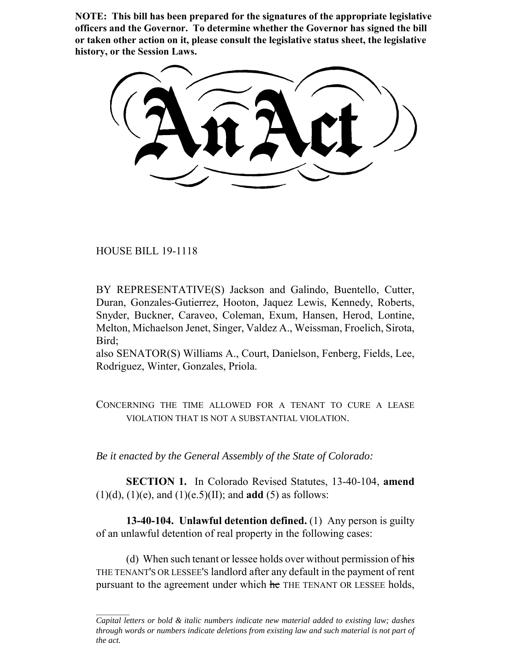**NOTE: This bill has been prepared for the signatures of the appropriate legislative officers and the Governor. To determine whether the Governor has signed the bill or taken other action on it, please consult the legislative status sheet, the legislative history, or the Session Laws.**

HOUSE BILL 19-1118

BY REPRESENTATIVE(S) Jackson and Galindo, Buentello, Cutter, Duran, Gonzales-Gutierrez, Hooton, Jaquez Lewis, Kennedy, Roberts, Snyder, Buckner, Caraveo, Coleman, Exum, Hansen, Herod, Lontine, Melton, Michaelson Jenet, Singer, Valdez A., Weissman, Froelich, Sirota, Bird;

also SENATOR(S) Williams A., Court, Danielson, Fenberg, Fields, Lee, Rodriguez, Winter, Gonzales, Priola.

CONCERNING THE TIME ALLOWED FOR A TENANT TO CURE A LEASE VIOLATION THAT IS NOT A SUBSTANTIAL VIOLATION.

*Be it enacted by the General Assembly of the State of Colorado:*

**SECTION 1.** In Colorado Revised Statutes, 13-40-104, **amend** (1)(d), (1)(e), and (1)(e.5)(II); and **add** (5) as follows:

**13-40-104. Unlawful detention defined.** (1) Any person is guilty of an unlawful detention of real property in the following cases:

(d) When such tenant or lessee holds over without permission of  $\overline{\text{his}}$ THE TENANT'S OR LESSEE'S landlord after any default in the payment of rent pursuant to the agreement under which he THE TENANT OR LESSEE holds,

*Capital letters or bold & italic numbers indicate new material added to existing law; dashes through words or numbers indicate deletions from existing law and such material is not part of the act.*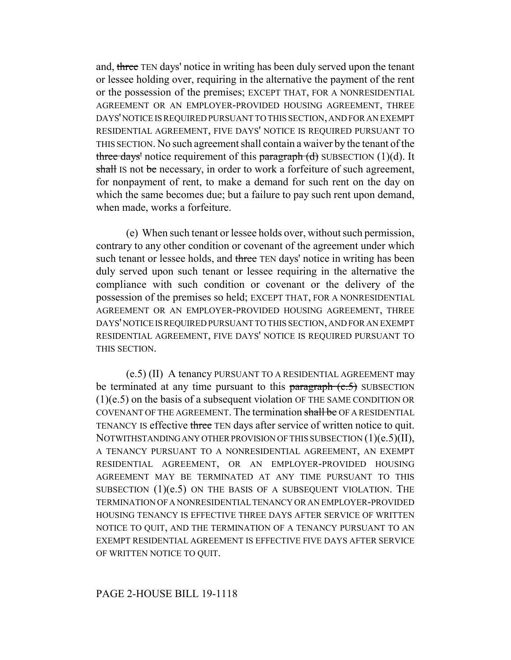and, three TEN days' notice in writing has been duly served upon the tenant or lessee holding over, requiring in the alternative the payment of the rent or the possession of the premises; EXCEPT THAT, FOR A NONRESIDENTIAL AGREEMENT OR AN EMPLOYER-PROVIDED HOUSING AGREEMENT, THREE DAYS' NOTICE IS REQUIRED PURSUANT TO THIS SECTION, AND FOR AN EXEMPT RESIDENTIAL AGREEMENT, FIVE DAYS' NOTICE IS REQUIRED PURSUANT TO THIS SECTION. No such agreement shall contain a waiver by the tenant of the three days' notice requirement of this paragraph  $(d)$  SUBSECTION (1)(d). It shall IS not be necessary, in order to work a forfeiture of such agreement, for nonpayment of rent, to make a demand for such rent on the day on which the same becomes due; but a failure to pay such rent upon demand, when made, works a forfeiture.

(e) When such tenant or lessee holds over, without such permission, contrary to any other condition or covenant of the agreement under which such tenant or lessee holds, and three TEN days' notice in writing has been duly served upon such tenant or lessee requiring in the alternative the compliance with such condition or covenant or the delivery of the possession of the premises so held; EXCEPT THAT, FOR A NONRESIDENTIAL AGREEMENT OR AN EMPLOYER-PROVIDED HOUSING AGREEMENT, THREE DAYS' NOTICE IS REQUIRED PURSUANT TO THIS SECTION, AND FOR AN EXEMPT RESIDENTIAL AGREEMENT, FIVE DAYS' NOTICE IS REQUIRED PURSUANT TO THIS SECTION.

(e.5) (II) A tenancy PURSUANT TO A RESIDENTIAL AGREEMENT may be terminated at any time pursuant to this paragraph  $(e.5)$  SUBSECTION (1)(e.5) on the basis of a subsequent violation OF THE SAME CONDITION OR COVENANT OF THE AGREEMENT. The termination shall be OF A RESIDENTIAL TENANCY IS effective three TEN days after service of written notice to quit. NOTWITHSTANDING ANY OTHER PROVISION OF THIS SUBSECTION (1)(e.5)(II), A TENANCY PURSUANT TO A NONRESIDENTIAL AGREEMENT, AN EXEMPT RESIDENTIAL AGREEMENT, OR AN EMPLOYER-PROVIDED HOUSING AGREEMENT MAY BE TERMINATED AT ANY TIME PURSUANT TO THIS SUBSECTION  $(1)(e.5)$  ON THE BASIS OF A SUBSEQUENT VIOLATION. THE TERMINATION OF A NONRESIDENTIAL TENANCY OR AN EMPLOYER-PROVIDED HOUSING TENANCY IS EFFECTIVE THREE DAYS AFTER SERVICE OF WRITTEN NOTICE TO QUIT, AND THE TERMINATION OF A TENANCY PURSUANT TO AN EXEMPT RESIDENTIAL AGREEMENT IS EFFECTIVE FIVE DAYS AFTER SERVICE OF WRITTEN NOTICE TO QUIT.

## PAGE 2-HOUSE BILL 19-1118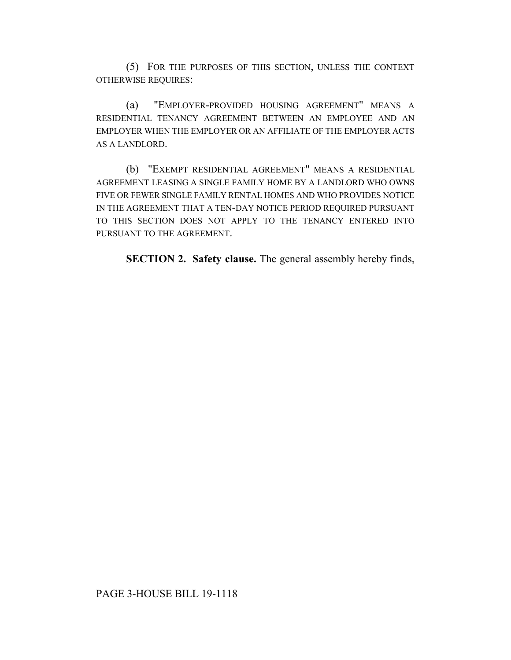(5) FOR THE PURPOSES OF THIS SECTION, UNLESS THE CONTEXT OTHERWISE REQUIRES:

(a) "EMPLOYER-PROVIDED HOUSING AGREEMENT" MEANS A RESIDENTIAL TENANCY AGREEMENT BETWEEN AN EMPLOYEE AND AN EMPLOYER WHEN THE EMPLOYER OR AN AFFILIATE OF THE EMPLOYER ACTS AS A LANDLORD.

(b) "EXEMPT RESIDENTIAL AGREEMENT" MEANS A RESIDENTIAL AGREEMENT LEASING A SINGLE FAMILY HOME BY A LANDLORD WHO OWNS FIVE OR FEWER SINGLE FAMILY RENTAL HOMES AND WHO PROVIDES NOTICE IN THE AGREEMENT THAT A TEN-DAY NOTICE PERIOD REQUIRED PURSUANT TO THIS SECTION DOES NOT APPLY TO THE TENANCY ENTERED INTO PURSUANT TO THE AGREEMENT.

**SECTION 2. Safety clause.** The general assembly hereby finds,

## PAGE 3-HOUSE BILL 19-1118